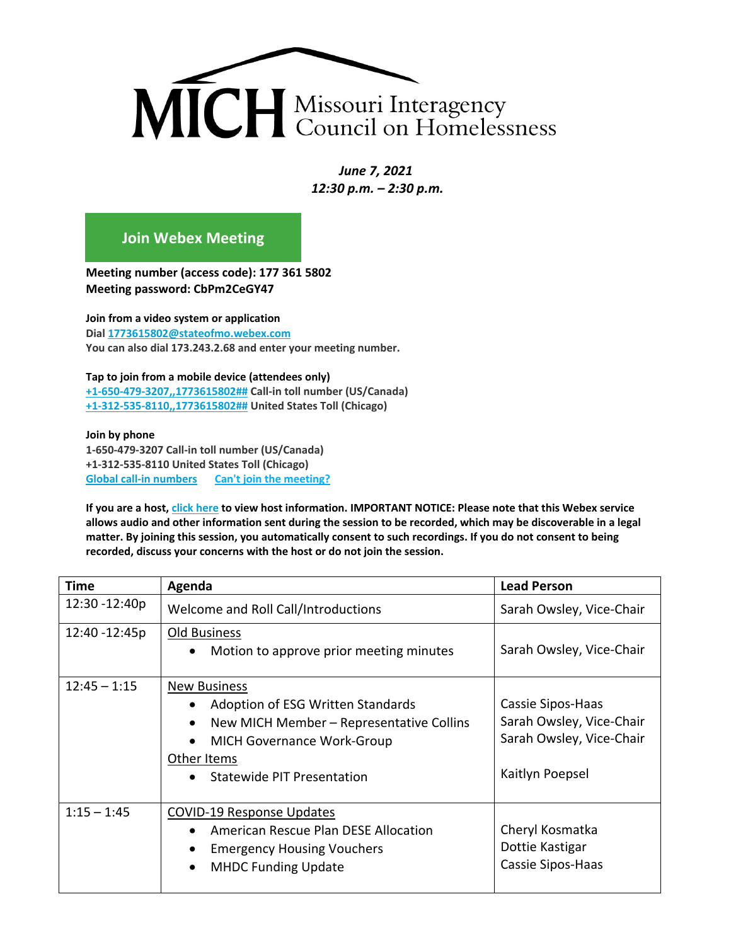

*June 7, 2021 12:30 p.m. – 2:30 p.m.* 

## **[Join Webex Meeting](https://stateofmo.webex.com/stateofmo/j.php?MTID=m3954c9f3c222f19147e426aaf6b89a3e)**

**Meeting number (access code): 177 361 5802 Meeting password: CbPm2CeGY47**

**Join from a video system or application Dial [1773615802@stateofmo.webex.com](sip:1773615802@stateofmo.webex.com) You can also dial 173.243.2.68 and enter your meeting number.**

**Tap to join from a mobile device (attendees only) [+1-650-479-3207,,1773615802##](tel:%2B1-650-479-3207,,*01*1773615802%23%23*01*) Call-in toll number (US/Canada) [+1-312-535-8110,,1773615802##](tel:%2B1-312-535-8110,,*01*1773615802%23%23*01*) United States Toll (Chicago)**

**Join by phone 1-650-479-3207 Call-in toll number (US/Canada) +1-312-535-8110 United States Toll (Chicago) [Global call-in numbers](https://stateofmo.webex.com/stateofmo/globalcallin.php?MTID=mc74b6c5d3384bbc595ad815a87ed5311) [Can't join the meeting?](https://collaborationhelp.cisco.com/article/WBX000029055)**

**If you are a host, [click here](https://stateofmo.webex.com/stateofmo/j.php?MTID=me3023518f467165c778f290cbe994af3) to view host information. IMPORTANT NOTICE: Please note that this Webex service allows audio and other information sent during the session to be recorded, which may be discoverable in a legal matter. By joining this session, you automatically consent to such recordings. If you do not consent to being recorded, discuss your concerns with the host or do not join the session.** 

| <b>Time</b>    | Agenda                                                                                                                                                                                 | <b>Lead Person</b>                                                                           |
|----------------|----------------------------------------------------------------------------------------------------------------------------------------------------------------------------------------|----------------------------------------------------------------------------------------------|
| 12:30 - 12:40p | Welcome and Roll Call/Introductions                                                                                                                                                    | Sarah Owsley, Vice-Chair                                                                     |
| 12:40 - 12:45p | Old Business<br>Motion to approve prior meeting minutes                                                                                                                                | Sarah Owsley, Vice-Chair                                                                     |
| $12:45 - 1:15$ | <b>New Business</b><br>Adoption of ESG Written Standards<br>New MICH Member - Representative Collins<br><b>MICH Governance Work-Group</b><br>Other Items<br>Statewide PIT Presentation | Cassie Sipos-Haas<br>Sarah Owsley, Vice-Chair<br>Sarah Owsley, Vice-Chair<br>Kaitlyn Poepsel |
| $1:15 - 1:45$  | <b>COVID-19 Response Updates</b><br>American Rescue Plan DESE Allocation<br>$\bullet$<br><b>Emergency Housing Vouchers</b><br><b>MHDC Funding Update</b>                               | Cheryl Kosmatka<br>Dottie Kastigar<br>Cassie Sipos-Haas                                      |